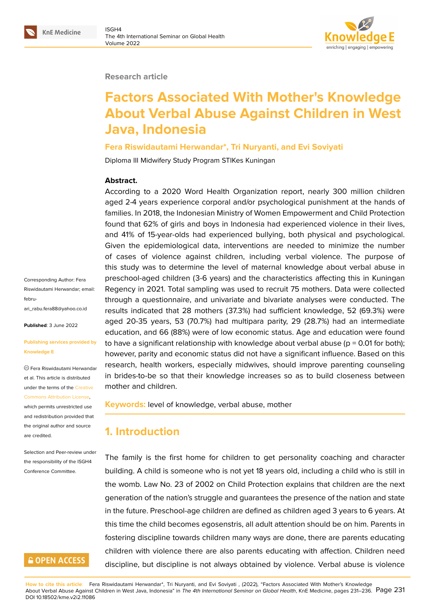#### **Research article**

# **Factors Associated With Mother's Knowledge About Verbal Abuse Against Children in West Java, Indonesia**

**Fera Riswidautami Herwandar\*, Tri Nuryanti, and Evi Soviyati**

Diploma III Midwifery Study Program STIKes Kuningan

#### **Abstract.**

According to a 2020 Word Health Organization report, nearly 300 million children aged 2-4 years experience corporal and/or psychological punishment at the hands of families. In 2018, the Indonesian Ministry of Women Empowerment and Child Protection found that 62% of girls and boys in Indonesia had experienced violence in their lives, and 41% of 15-year-olds had experienced bullying, both physical and psychological. Given the epidemiological data, interventions are needed to minimize the number of cases of violence against children, including verbal violence. The purpose of this study was to determine the level of maternal knowledge about verbal abuse in preschool-aged children (3-6 years) and the characteristics affecting this in Kuningan Regency in 2021. Total sampling was used to recruit 75 mothers. Data were collected through a questionnaire, and univariate and bivariate analyses were conducted. The results indicated that 28 mothers (37.3%) had sufficient knowledge, 52 (69.3%) were aged 20-35 years, 53 (70.7%) had multipara parity, 29 (28.7%) had an intermediate education, and 66 (88%) were of low economic status. Age and education were found to have a significant relationship with knowledge about verbal abuse ( $p = 0.01$  for both); however, parity and economic status did not have a significant influence. Based on this research, health workers, especially midwives, should improve parenting counseling in brides-to-be so that their knowledge increases so as to build closeness between mother and children.

**Keywords:** level of knowledge, verbal abuse, mother

### **1. Introduction**

The family is the first home for children to get personality coaching and character building. A child is someone who is not yet 18 years old, including a child who is still in the womb. Law No. 23 of 2002 on Child Protection explains that children are the next generation of the nation's struggle and guarantees the presence of the nation and state in the future. Preschool-age children are defined as children aged 3 years to 6 years. At this time the child becomes egosenstris, all adult attention should be on him. Parents in fostering discipline towards children many ways are done, there are parents educating children with violence there are also parents educating with affection. Children need discipline, but discipline is not always obtained by violence. Verbal abuse is violence

**How to cite this article**: Fera Riswidautami Herwandar\*, Tri Nuryanti, and Evi Soviyati , (2022), "Factors Associated With Mother's Knowledge About Verbal Abuse Against Children in West Java, Indonesia" in *The 4th International Seminar on Global Health*, KnE Medicine, pages 231–236. Page 231 DOI 10.18502/kme.v2i2.11086

Corresponding Author: Fera Riswidautami Herwandar; email: februari\_rabu.fera88@yahoo.co.id

**Published**: 3 June 2022

#### **[Publishing services provided](mailto:februari_rabu.fera88@yahoo.co.id) by Knowledge E**

Fera Riswidautami Herwandar et al. This article is distributed under the terms of the Creative

Commons Attribution License,

which permits unrestricted use and redistribution provided that the original author and [source](https://creativecommons.org/licenses/by/4.0/) [are credited.](https://creativecommons.org/licenses/by/4.0/)

Selection and Peer-review under the responsibility of the ISGH4 Conference Committee.

### **GOPEN ACCESS**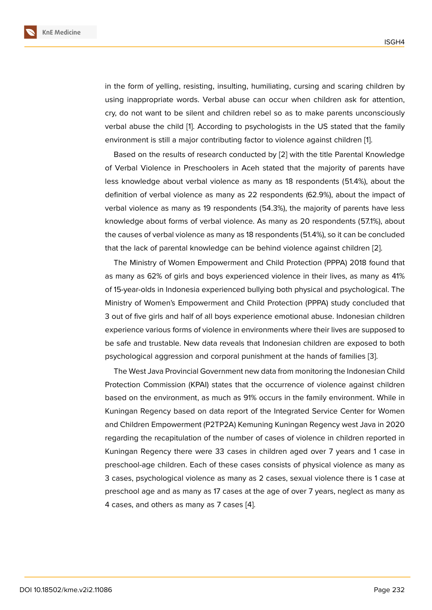in the form of yelling, resisting, insulting, humiliating, cursing and scaring children by using inappropriate words. Verbal abuse can occur when children ask for attention, cry, do not want to be silent and children rebel so as to make parents unconsciously verbal abuse the child [1]. According to psychologists in the US stated that the family environment is still a major contributing factor to violence against children [1].

Based on the results of research conducted by [2] with the title Parental Knowledge of Verbal Violence in P[r](#page-5-0)eschoolers in Aceh stated that the majority of parents have less knowledge about verbal violence as many as 18 respondents (51.4%)[,](#page-5-0) about the definition of verbal violence as many as 22 respo[nd](#page-5-1)ents (62.9%), about the impact of verbal violence as many as 19 respondents (54.3%), the majority of parents have less knowledge about forms of verbal violence. As many as 20 respondents (57.1%), about the causes of verbal violence as many as 18 respondents (51.4%), so it can be concluded that the lack of parental knowledge can be behind violence against children [2].

The Ministry of Women Empowerment and Child Protection (PPPA) 2018 found that as many as 62% of girls and boys experienced violence in their lives, as many as 41% of 15-year-olds in Indonesia experienced bullying both physical and psycholo[gic](#page-5-1)al. The Ministry of Women's Empowerment and Child Protection (PPPA) study concluded that 3 out of five girls and half of all boys experience emotional abuse. Indonesian children experience various forms of violence in environments where their lives are supposed to be safe and trustable. New data reveals that Indonesian children are exposed to both psychological aggression and corporal punishment at the hands of families [3].

The West Java Provincial Government new data from monitoring the Indonesian Child Protection Commission (KPAI) states that the occurrence of violence against children based on the environment, as much as 91% occurs in the family environme[nt.](#page-5-2) While in Kuningan Regency based on data report of the Integrated Service Center for Women and Children Empowerment (P2TP2A) Kemuning Kuningan Regency west Java in 2020 regarding the recapitulation of the number of cases of violence in children reported in Kuningan Regency there were 33 cases in children aged over 7 years and 1 case in preschool-age children. Each of these cases consists of physical violence as many as 3 cases, psychological violence as many as 2 cases, sexual violence there is 1 case at preschool age and as many as 17 cases at the age of over 7 years, neglect as many as 4 cases, and others as many as 7 cases [4].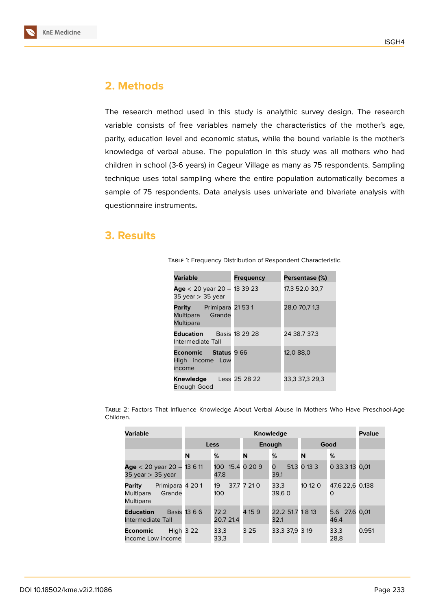

### **2. Methods**

The research method used in this study is analythic survey design. The research variable consists of free variables namely the characteristics of the mother's age, parity, education level and economic status, while the bound variable is the mother's knowledge of verbal abuse. The population in this study was all mothers who had children in school (3-6 years) in Cageur Village as many as 75 respondents. Sampling technique uses total sampling where the entire population automatically becomes a sample of 75 respondents. Data analysis uses univariate and bivariate analysis with questionnaire instruments**.**

### **3. Results**

| <b>Variable</b>                                                  | Frequency | Persentase (%) |  |  |
|------------------------------------------------------------------|-----------|----------------|--|--|
| Age $<$ 20 year 20 - 13 39 23<br>35 year $>$ 35 year             |           | 17.3 52.0 30,7 |  |  |
| <b>Parity</b> Primipara 21 53 1<br>Multipara Grande<br>Multipara |           | 28,0 70,7 1,3  |  |  |
| <b>Education</b> Basis 18 29 28<br>Intermediate Tall             |           | 24 38.7 37.3   |  |  |
| <b>Economic</b> Status 9 66<br>High income Low<br>income         |           | 12,0 88,0      |  |  |
| Knewledge Less 25 28 22<br>Enough Good                           |           | 33,3 37,3 29,3 |  |  |

Table 1: Frequency Distribution of Respondent Characteristic.

Table 2: Factors That Influence Knowledge About Verbal Abuse In Mothers Who Have Preschool-Age Children.

| <b>Variable</b>                                               | <b>Knowledge</b> |                         |             |                          |             |                       |       |
|---------------------------------------------------------------|------------------|-------------------------|-------------|--------------------------|-------------|-----------------------|-------|
|                                                               | Less             |                         | Enough      |                          | Good        |                       |       |
|                                                               | N                | %                       | N           | %                        | N           | %                     |       |
| Age < 20 year 20 - 13 6 11<br>35 year $>$ 35 year             |                  | 100 15.4 0 20 9<br>47,8 |             | O<br>39,1                | 51.3 0 13 3 | 0 33.3 13 0.01        |       |
| Primipara 4 201<br>Parity<br>Grande<br>Multipara<br>Multipara |                  | 19<br>100               | 37.7 7 21 0 | 33,3<br>39.6 0           | 10 12 0     | 47,6 22,6 0.138<br>O  |       |
| <b>Education</b><br>Intermediate Tall                         | Basis 13 6 6     | 72.2<br>20.7 21.4       | 4 15 9      | 22.2 51.7 1 8 13<br>32.1 |             | 5.6 27.6 0.01<br>46.4 |       |
| Economic<br>income Low income                                 | <b>High 3 22</b> | 33,3<br>33,3            | 3 2 5       | 33.3 37.9 3 19           |             | 33,3<br>28,8          | 0.951 |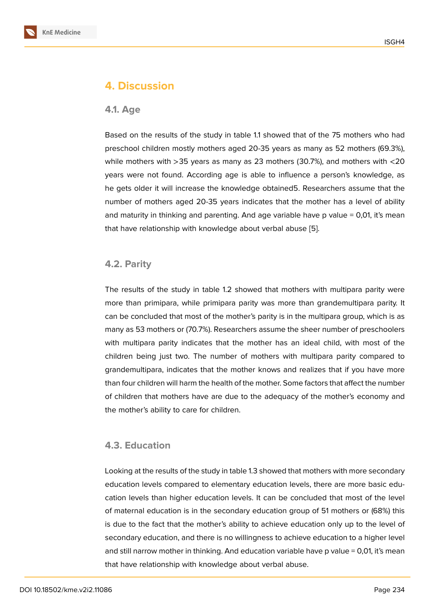### **4. Discussion**

#### **4.1. Age**

Based on the results of the study in table 1.1 showed that of the 75 mothers who had preschool children mostly mothers aged 20-35 years as many as 52 mothers (69.3%), while mothers with >35 years as many as 23 mothers (30.7%), and mothers with <20 years were not found. According age is able to influence a person's knowledge, as he gets older it will increase the knowledge obtained5. Researchers assume that the number of mothers aged 20-35 years indicates that the mother has a level of ability and maturity in thinking and parenting. And age variable have  $p$  value  $= 0.01$ , it's mean that have relationship with knowledge about verbal abuse [5].

### **4.2. Parity**

The results of the study in table 1.2 showed that mothers with multipara parity were more than primipara, while primipara parity was more than grandemultipara parity. It can be concluded that most of the mother's parity is in the multipara group, which is as many as 53 mothers or (70.7%). Researchers assume the sheer number of preschoolers with multipara parity indicates that the mother has an ideal child, with most of the children being just two. The number of mothers with multipara parity compared to grandemultipara, indicates that the mother knows and realizes that if you have more than four children will harm the health of the mother. Some factors that affect the number of children that mothers have are due to the adequacy of the mother's economy and the mother's ability to care for children.

### **4.3. Education**

Looking at the results of the study in table 1.3 showed that mothers with more secondary education levels compared to elementary education levels, there are more basic education levels than higher education levels. It can be concluded that most of the level of maternal education is in the secondary education group of 51 mothers or (68%) this is due to the fact that the mother's ability to achieve education only up to the level of secondary education, and there is no willingness to achieve education to a higher level and still narrow mother in thinking. And education variable have p value = 0,01, it's mean that have relationship with knowledge about verbal abuse.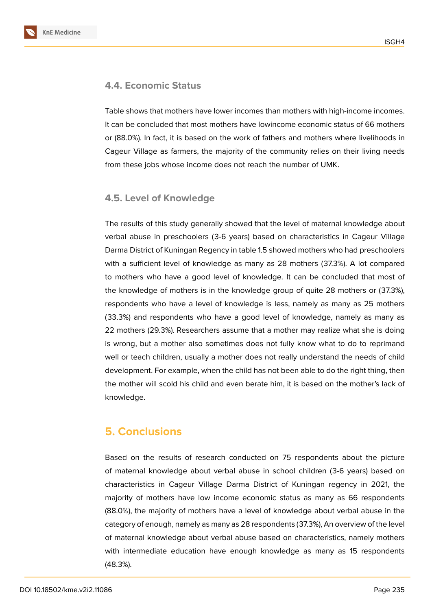

### **4.4. Economic Status**

Table shows that mothers have lower incomes than mothers with high-income incomes. It can be concluded that most mothers have lowincome economic status of 66 mothers or (88.0%). In fact, it is based on the work of fathers and mothers where livelihoods in Cageur Village as farmers, the majority of the community relies on their living needs from these jobs whose income does not reach the number of UMK.

### **4.5. Level of Knowledge**

The results of this study generally showed that the level of maternal knowledge about verbal abuse in preschoolers (3-6 years) based on characteristics in Cageur Village Darma District of Kuningan Regency in table 1.5 showed mothers who had preschoolers with a sufficient level of knowledge as many as 28 mothers (37.3%). A lot compared to mothers who have a good level of knowledge. It can be concluded that most of the knowledge of mothers is in the knowledge group of quite 28 mothers or (37.3%), respondents who have a level of knowledge is less, namely as many as 25 mothers (33.3%) and respondents who have a good level of knowledge, namely as many as 22 mothers (29.3%). Researchers assume that a mother may realize what she is doing is wrong, but a mother also sometimes does not fully know what to do to reprimand well or teach children, usually a mother does not really understand the needs of child development. For example, when the child has not been able to do the right thing, then the mother will scold his child and even berate him, it is based on the mother's lack of knowledge.

# **5. Conclusions**

Based on the results of research conducted on 75 respondents about the picture of maternal knowledge about verbal abuse in school children (3-6 years) based on characteristics in Cageur Village Darma District of Kuningan regency in 2021, the majority of mothers have low income economic status as many as 66 respondents (88.0%), the majority of mothers have a level of knowledge about verbal abuse in the category of enough, namely as many as 28 respondents (37.3%), An overview of the level of maternal knowledge about verbal abuse based on characteristics, namely mothers with intermediate education have enough knowledge as many as 15 respondents (48.3%).